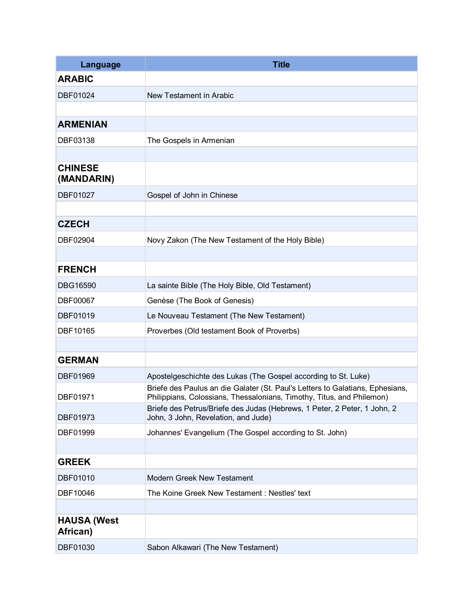| Language                       | <b>Title</b>                                                                                                                                           |
|--------------------------------|--------------------------------------------------------------------------------------------------------------------------------------------------------|
| <b>ARABIC</b>                  |                                                                                                                                                        |
| DBF01024                       | New Testament in Arabic                                                                                                                                |
|                                |                                                                                                                                                        |
| <b>ARMENIAN</b>                |                                                                                                                                                        |
| DBF03138                       | The Gospels in Armenian                                                                                                                                |
|                                |                                                                                                                                                        |
| <b>CHINESE</b><br>(MANDARIN)   |                                                                                                                                                        |
| DBF01027                       | Gospel of John in Chinese                                                                                                                              |
|                                |                                                                                                                                                        |
| <b>CZECH</b>                   |                                                                                                                                                        |
| DBF02904                       | Novy Zakon (The New Testament of the Holy Bible)                                                                                                       |
|                                |                                                                                                                                                        |
| <b>FRENCH</b>                  |                                                                                                                                                        |
| DBG16590                       | La sainte Bible (The Holy Bible, Old Testament)                                                                                                        |
| DBF00067                       | Genèse (The Book of Genesis)                                                                                                                           |
| DBF01019                       | Le Nouveau Testament (The New Testament)                                                                                                               |
| DBF10165                       | Proverbes (Old testament Book of Proverbs)                                                                                                             |
|                                |                                                                                                                                                        |
| <b>GERMAN</b>                  |                                                                                                                                                        |
| DBF01969                       | Apostelgeschichte des Lukas (The Gospel according to St. Luke)                                                                                         |
| DBF01971                       | Briefe des Paulus an die Galater (St. Paul's Letters to Galatians, Ephesians,<br>Philippians, Colossians, Thessalonians, Timothy, Titus, and Philemon) |
| DBF01973                       | Briefe des Petrus/Briefe des Judas (Hebrews, 1 Peter, 2 Peter, 1 John, 2<br>John, 3 John, Revelation, and Jude)                                        |
| DBF01999                       | Johannes' Evangelium (The Gospel according to St. John)                                                                                                |
|                                |                                                                                                                                                        |
| <b>GREEK</b>                   |                                                                                                                                                        |
| DBF01010                       | <b>Modern Greek New Testament</b>                                                                                                                      |
| DBF10046                       | The Koine Greek New Testament: Nestles' text                                                                                                           |
|                                |                                                                                                                                                        |
| <b>HAUSA (West</b><br>African) |                                                                                                                                                        |
| DBF01030                       | Sabon Alkawari (The New Testament)                                                                                                                     |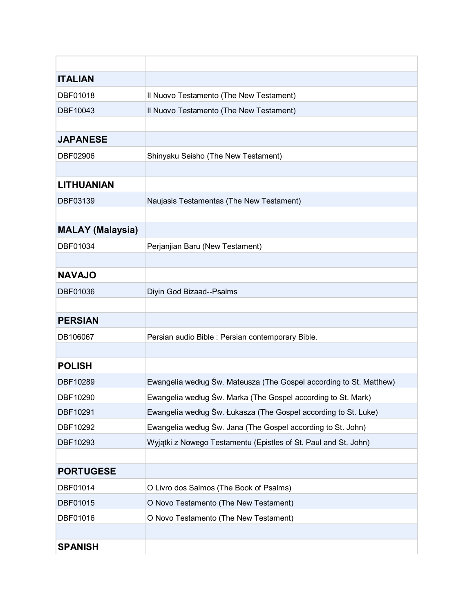| <b>ITALIAN</b>          |                                                                     |
|-------------------------|---------------------------------------------------------------------|
| DBF01018                | Il Nuovo Testamento (The New Testament)                             |
| DBF10043                | Il Nuovo Testamento (The New Testament)                             |
|                         |                                                                     |
| <b>JAPANESE</b>         |                                                                     |
| DBF02906                | Shinyaku Seisho (The New Testament)                                 |
|                         |                                                                     |
| <b>LITHUANIAN</b>       |                                                                     |
| DBF03139                | Naujasis Testamentas (The New Testament)                            |
|                         |                                                                     |
| <b>MALAY (Malaysia)</b> |                                                                     |
| DBF01034                | Perjanjian Baru (New Testament)                                     |
|                         |                                                                     |
| <b>NAVAJO</b>           |                                                                     |
| DBF01036                | Diyin God Bizaad--Psalms                                            |
|                         |                                                                     |
| <b>PERSIAN</b>          |                                                                     |
| DB106067                | Persian audio Bible : Persian contemporary Bible.                   |
|                         |                                                                     |
| <b>POLISH</b>           |                                                                     |
| DBF10289                | Ewangelia według Św. Mateusza (The Gospel according to St. Matthew) |
| DBF10290                | Ewangelia według Św. Marka (The Gospel according to St. Mark)       |
| DBF10291                | Ewangelia według Św. Łukasza (The Gospel according to St. Luke)     |
| DBF10292                | Ewangelia według Św. Jana (The Gospel according to St. John)        |
| DBF10293                | Wyjątki z Nowego Testamentu (Epistles of St. Paul and St. John)     |
|                         |                                                                     |
| <b>PORTUGESE</b>        |                                                                     |
| DBF01014                | O Livro dos Salmos (The Book of Psalms)                             |
| DBF01015                | O Novo Testamento (The New Testament)                               |
| DBF01016                | O Novo Testamento (The New Testament)                               |
|                         |                                                                     |
| <b>SPANISH</b>          |                                                                     |